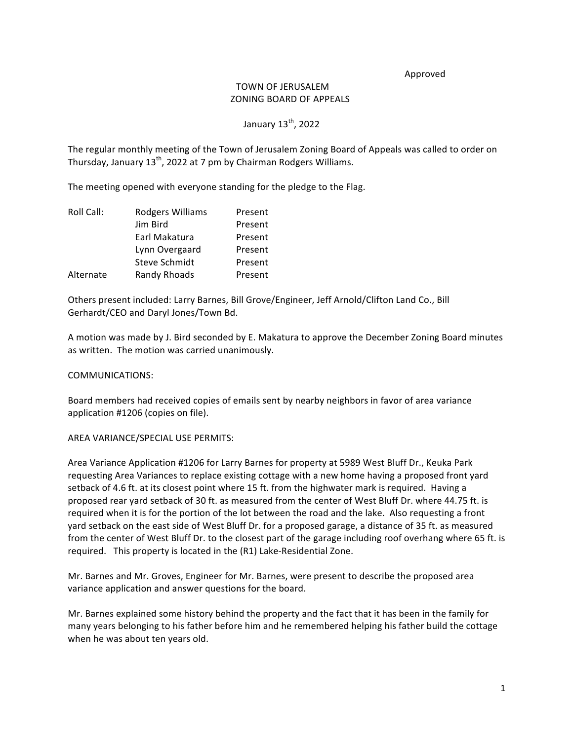#### Approved

## TOWN OF JERUSALEM ZONING BOARD OF APPEALS

# January 13<sup>th</sup>, 2022

The regular monthly meeting of the Town of Jerusalem Zoning Board of Appeals was called to order on Thursday, January  $13^{th}$ , 2022 at 7 pm by Chairman Rodgers Williams.

The meeting opened with everyone standing for the pledge to the Flag.

| Roll Call: | Rodgers Williams | Present |
|------------|------------------|---------|
|            | Jim Bird         | Present |
|            | Earl Makatura    | Present |
|            | Lynn Overgaard   | Present |
|            | Steve Schmidt    | Present |
| Alternate  | Randy Rhoads     | Present |

Others present included: Larry Barnes, Bill Grove/Engineer, Jeff Arnold/Clifton Land Co., Bill Gerhardt/CEO and Daryl Jones/Town Bd.

A motion was made by J. Bird seconded by E. Makatura to approve the December Zoning Board minutes as written. The motion was carried unanimously.

#### COMMUNICATIONS:

Board members had received copies of emails sent by nearby neighbors in favor of area variance application #1206 (copies on file).

#### AREA VARIANCE/SPECIAL USE PERMITS:

Area Variance Application #1206 for Larry Barnes for property at 5989 West Bluff Dr., Keuka Park requesting Area Variances to replace existing cottage with a new home having a proposed front yard setback of 4.6 ft. at its closest point where 15 ft. from the highwater mark is required. Having a proposed rear yard setback of 30 ft. as measured from the center of West Bluff Dr. where 44.75 ft. is required when it is for the portion of the lot between the road and the lake. Also requesting a front yard setback on the east side of West Bluff Dr. for a proposed garage, a distance of 35 ft. as measured from the center of West Bluff Dr. to the closest part of the garage including roof overhang where 65 ft. is required. This property is located in the (R1) Lake-Residential Zone.

Mr. Barnes and Mr. Groves, Engineer for Mr. Barnes, were present to describe the proposed area variance application and answer questions for the board.

Mr. Barnes explained some history behind the property and the fact that it has been in the family for many years belonging to his father before him and he remembered helping his father build the cottage when he was about ten years old.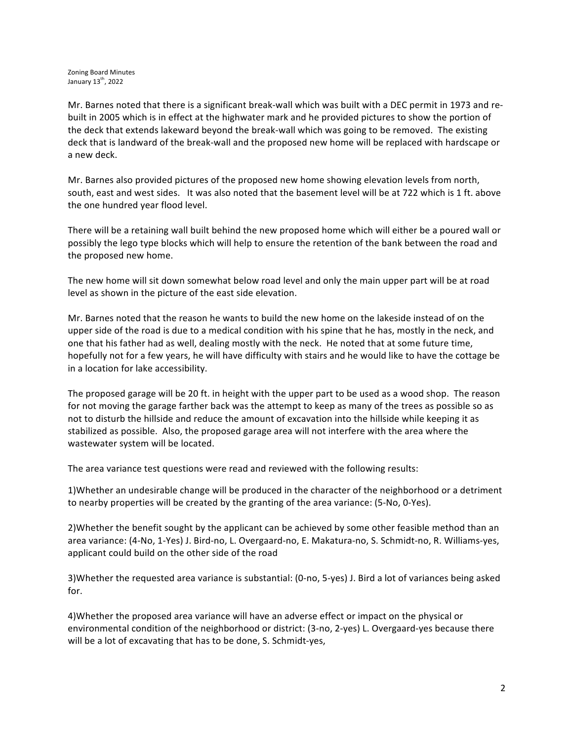Mr. Barnes noted that there is a significant break-wall which was built with a DEC permit in 1973 and rebuilt in 2005 which is in effect at the highwater mark and he provided pictures to show the portion of the deck that extends lakeward beyond the break-wall which was going to be removed. The existing deck that is landward of the break-wall and the proposed new home will be replaced with hardscape or a new deck.

Mr. Barnes also provided pictures of the proposed new home showing elevation levels from north, south, east and west sides. It was also noted that the basement level will be at 722 which is 1 ft. above the one hundred year flood level.

There will be a retaining wall built behind the new proposed home which will either be a poured wall or possibly the lego type blocks which will help to ensure the retention of the bank between the road and the proposed new home.

The new home will sit down somewhat below road level and only the main upper part will be at road level as shown in the picture of the east side elevation.

Mr. Barnes noted that the reason he wants to build the new home on the lakeside instead of on the upper side of the road is due to a medical condition with his spine that he has, mostly in the neck, and one that his father had as well, dealing mostly with the neck. He noted that at some future time, hopefully not for a few years, he will have difficulty with stairs and he would like to have the cottage be in a location for lake accessibility.

The proposed garage will be 20 ft. in height with the upper part to be used as a wood shop. The reason for not moving the garage farther back was the attempt to keep as many of the trees as possible so as not to disturb the hillside and reduce the amount of excavation into the hillside while keeping it as stabilized as possible. Also, the proposed garage area will not interfere with the area where the wastewater system will be located.

The area variance test questions were read and reviewed with the following results:

1)Whether an undesirable change will be produced in the character of the neighborhood or a detriment to nearby properties will be created by the granting of the area variance: (5-No, 0-Yes).

2) Whether the benefit sought by the applicant can be achieved by some other feasible method than an area variance: (4-No, 1-Yes) J. Bird-no, L. Overgaard-no, E. Makatura-no, S. Schmidt-no, R. Williams-yes, applicant could build on the other side of the road

3)Whether the requested area variance is substantial: (0-no, 5-yes) J. Bird a lot of variances being asked for.

4)Whether the proposed area variance will have an adverse effect or impact on the physical or environmental condition of the neighborhood or district: (3-no, 2-yes) L. Overgaard-yes because there will be a lot of excavating that has to be done, S. Schmidt-yes,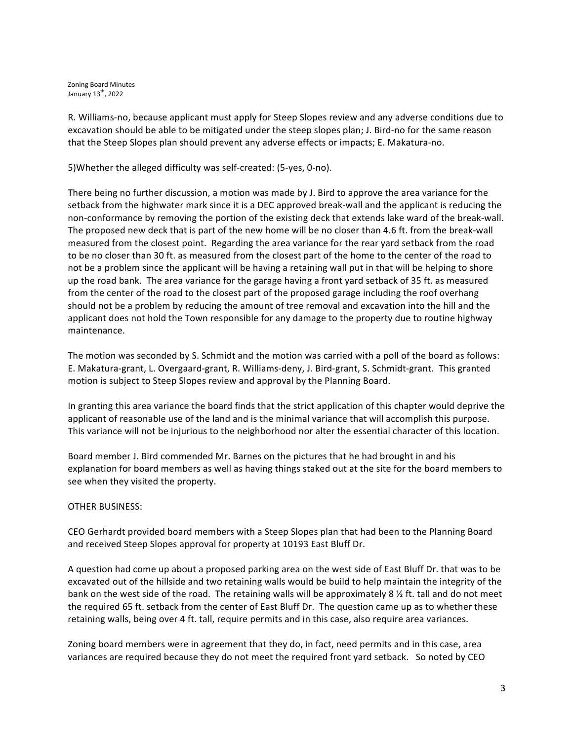Zoning Board Minutes January 13<sup>th</sup>, 2022

R. Williams-no, because applicant must apply for Steep Slopes review and any adverse conditions due to excavation should be able to be mitigated under the steep slopes plan; J. Bird-no for the same reason that the Steep Slopes plan should prevent any adverse effects or impacts; E. Makatura-no.

5) Whether the alleged difficulty was self-created: (5-yes, 0-no).

There being no further discussion, a motion was made by J. Bird to approve the area variance for the setback from the highwater mark since it is a DEC approved break-wall and the applicant is reducing the non-conformance by removing the portion of the existing deck that extends lake ward of the break-wall. The proposed new deck that is part of the new home will be no closer than 4.6 ft. from the break-wall measured from the closest point. Regarding the area variance for the rear vard setback from the road to be no closer than 30 ft. as measured from the closest part of the home to the center of the road to not be a problem since the applicant will be having a retaining wall put in that will be helping to shore up the road bank. The area variance for the garage having a front yard setback of 35 ft. as measured from the center of the road to the closest part of the proposed garage including the roof overhang should not be a problem by reducing the amount of tree removal and excavation into the hill and the applicant does not hold the Town responsible for any damage to the property due to routine highway maintenance.

The motion was seconded by S. Schmidt and the motion was carried with a poll of the board as follows: E. Makatura-grant, L. Overgaard-grant, R. Williams-deny, J. Bird-grant, S. Schmidt-grant. This granted motion is subject to Steep Slopes review and approval by the Planning Board.

In granting this area variance the board finds that the strict application of this chapter would deprive the applicant of reasonable use of the land and is the minimal variance that will accomplish this purpose. This variance will not be injurious to the neighborhood nor alter the essential character of this location.

Board member J. Bird commended Mr. Barnes on the pictures that he had brought in and his explanation for board members as well as having things staked out at the site for the board members to see when they visited the property.

### OTHER BUSINESS:

CEO Gerhardt provided board members with a Steep Slopes plan that had been to the Planning Board and received Steep Slopes approval for property at 10193 East Bluff Dr.

A question had come up about a proposed parking area on the west side of East Bluff Dr. that was to be excavated out of the hillside and two retaining walls would be build to help maintain the integrity of the bank on the west side of the road. The retaining walls will be approximately 8  $\frac{1}{2}$  ft. tall and do not meet the required 65 ft. setback from the center of East Bluff Dr. The question came up as to whether these retaining walls, being over 4 ft. tall, require permits and in this case, also require area variances.

Zoning board members were in agreement that they do, in fact, need permits and in this case, area variances are required because they do not meet the required front yard setback. So noted by CEO